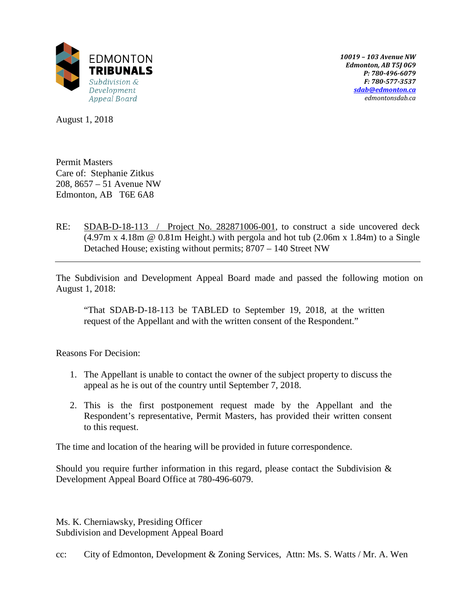

*10019 – 103 Avenue NW Edmonton, AB T5J 0G9 P: 780-496-6079 F: 780-577-3537 [sdab@edmonton.ca](mailto:sdab@edmonton.ca) edmontonsdab.ca*

August 1, 2018

Permit Masters Care of: Stephanie Zitkus 208, 8657 – 51 Avenue NW Edmonton, AB T6E 6A8

RE: SDAB-D-18-113 / Project No. 282871006-001, to construct a side uncovered deck  $(4.97m \times 4.18m \circledcirc 0.81m$  Height.) with pergola and hot tub  $(2.06m \times 1.84m)$  to a Single Detached House; existing without permits; 8707 – 140 Street NW

The Subdivision and Development Appeal Board made and passed the following motion on August 1, 2018:

"That SDAB-D-18-113 be TABLED to September 19, 2018, at the written request of the Appellant and with the written consent of the Respondent."

Reasons For Decision:

- 1. The Appellant is unable to contact the owner of the subject property to discuss the appeal as he is out of the country until September 7, 2018.
- 2. This is the first postponement request made by the Appellant and the Respondent's representative, Permit Masters, has provided their written consent to this request.

The time and location of the hearing will be provided in future correspondence.

Should you require further information in this regard, please contact the Subdivision  $\&$ Development Appeal Board Office at 780-496-6079.

Ms. K. Cherniawsky, Presiding Officer Subdivision and Development Appeal Board

cc: City of Edmonton, Development & Zoning Services, Attn: Ms. S. Watts / Mr. A. Wen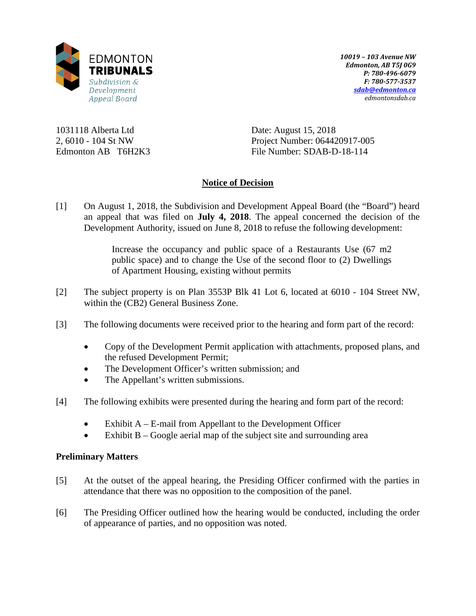

*10019 – 103 Avenue NW Edmonton, AB T5J 0G9 P: 780-496-6079 F: 780-577-3537 [sdab@edmonton.ca](mailto:sdab@edmonton.ca) edmontonsdab.ca*

1031118 Alberta Ltd 2, 6010 - 104 St NW Edmonton AB T6H2K3 Date: August 15, 2018 Project Number: 064420917-005 File Number: SDAB-D-18-114

# **Notice of Decision**

[1] On August 1, 2018, the Subdivision and Development Appeal Board (the "Board") heard an appeal that was filed on **July 4, 2018**. The appeal concerned the decision of the Development Authority, issued on June 8, 2018 to refuse the following development:

> Increase the occupancy and public space of a Restaurants Use (67 m2 public space) and to change the Use of the second floor to (2) Dwellings of Apartment Housing, existing without permits

- [2] The subject property is on Plan 3553P Blk 41 Lot 6, located at 6010 104 Street NW, within the (CB2) General Business Zone.
- [3] The following documents were received prior to the hearing and form part of the record:
	- Copy of the Development Permit application with attachments, proposed plans, and the refused Development Permit;
	- The Development Officer's written submission; and
	- The Appellant's written submissions.
- [4] The following exhibits were presented during the hearing and form part of the record:
	- Exhibit  $A E$ -mail from Appellant to the Development Officer
	- Exhibit  $B Google$  aerial map of the subject site and surrounding area

# **Preliminary Matters**

- [5] At the outset of the appeal hearing, the Presiding Officer confirmed with the parties in attendance that there was no opposition to the composition of the panel.
- [6] The Presiding Officer outlined how the hearing would be conducted, including the order of appearance of parties, and no opposition was noted.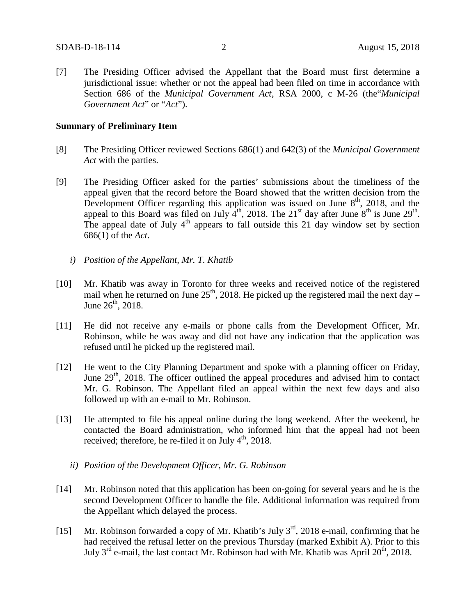[7] The Presiding Officer advised the Appellant that the Board must first determine a jurisdictional issue: whether or not the appeal had been filed on time in accordance with Section 686 of the *Municipal Government Act*, RSA 2000, c M-26 (the"*Municipal Government Act*" or "*Act*").

### **Summary of Preliminary Item**

- [8] The Presiding Officer reviewed Sections 686(1) and 642(3) of the *Municipal Government Act* with the parties.
- [9] The Presiding Officer asked for the parties' submissions about the timeliness of the appeal given that the record before the Board showed that the written decision from the Development Officer regarding this application was issued on June  $8<sup>th</sup>$ , 2018, and the appeal to this Board was filed on July  $4<sup>th</sup>$ , 2018. The 21<sup>st</sup> day after June  $8<sup>th</sup>$  is June 29<sup>th</sup>. The appeal date of July  $4<sup>th</sup>$  appears to fall outside this 21 day window set by section 686(1) of the *Act*.
	- *i) Position of the Appellant, Mr. T. Khatib*
- [10] Mr. Khatib was away in Toronto for three weeks and received notice of the registered mail when he returned on June  $25<sup>th</sup>$ , 2018. He picked up the registered mail the next day – June  $26^{th}$ , 2018.
- [11] He did not receive any e-mails or phone calls from the Development Officer, Mr. Robinson, while he was away and did not have any indication that the application was refused until he picked up the registered mail.
- [12] He went to the City Planning Department and spoke with a planning officer on Friday, June  $29<sup>th</sup>$ , 2018. The officer outlined the appeal procedures and advised him to contact Mr. G. Robinson. The Appellant filed an appeal within the next few days and also followed up with an e-mail to Mr. Robinson.
- [13] He attempted to file his appeal online during the long weekend. After the weekend, he contacted the Board administration, who informed him that the appeal had not been received; therefore, he re-filed it on July  $4<sup>th</sup>$ , 2018.
	- *ii) Position of the Development Officer, Mr. G. Robinson*
- [14] Mr. Robinson noted that this application has been on-going for several years and he is the second Development Officer to handle the file. Additional information was required from the Appellant which delayed the process.
- [15] Mr. Robinson forwarded a copy of Mr. Khatib's July  $3<sup>rd</sup>$ , 2018 e-mail, confirming that he had received the refusal letter on the previous Thursday (marked Exhibit A). Prior to this July  $3<sup>rd</sup>$  e-mail, the last contact Mr. Robinson had with Mr. Khatib was April  $20<sup>th</sup>$ , 2018.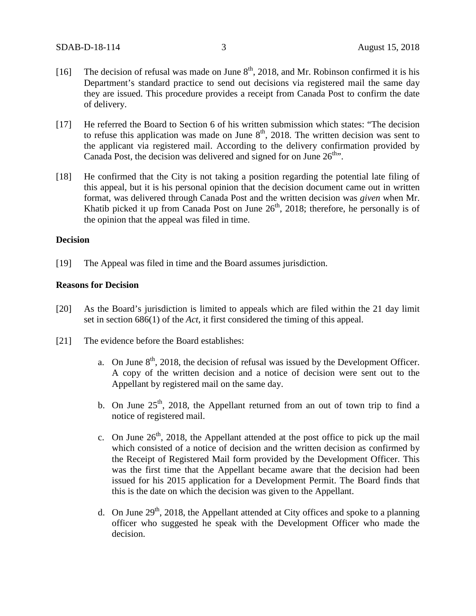- [16] The decision of refusal was made on June  $8<sup>th</sup>$ , 2018, and Mr. Robinson confirmed it is his Department's standard practice to send out decisions via registered mail the same day they are issued. This procedure provides a receipt from Canada Post to confirm the date of delivery.
- [17] He referred the Board to Section 6 of his written submission which states: "The decision" to refuse this application was made on June  $8<sup>th</sup>$ , 2018. The written decision was sent to the applicant via registered mail. According to the delivery confirmation provided by Canada Post, the decision was delivered and signed for on June  $26<sup>th</sup>$ .
- [18] He confirmed that the City is not taking a position regarding the potential late filing of this appeal, but it is his personal opinion that the decision document came out in written format, was delivered through Canada Post and the written decision was *given* when Mr. Khatib picked it up from Canada Post on June  $26<sup>th</sup>$ , 2018; therefore, he personally is of the opinion that the appeal was filed in time.

## **Decision**

[19] The Appeal was filed in time and the Board assumes jurisdiction.

### **Reasons for Decision**

- [20] As the Board's jurisdiction is limited to appeals which are filed within the 21 day limit set in section 686(1) of the *Act,* it first considered the timing of this appeal.
- [21] The evidence before the Board establishes:
	- a. On June  $8<sup>th</sup>$ , 2018, the decision of refusal was issued by the Development Officer. A copy of the written decision and a notice of decision were sent out to the Appellant by registered mail on the same day.
	- b. On June  $25<sup>th</sup>$ , 2018, the Appellant returned from an out of town trip to find a notice of registered mail.
	- c. On June  $26<sup>th</sup>$ , 2018, the Appellant attended at the post office to pick up the mail which consisted of a notice of decision and the written decision as confirmed by the Receipt of Registered Mail form provided by the Development Officer. This was the first time that the Appellant became aware that the decision had been issued for his 2015 application for a Development Permit. The Board finds that this is the date on which the decision was given to the Appellant.
	- d. On June  $29<sup>th</sup>$ , 2018, the Appellant attended at City offices and spoke to a planning officer who suggested he speak with the Development Officer who made the decision.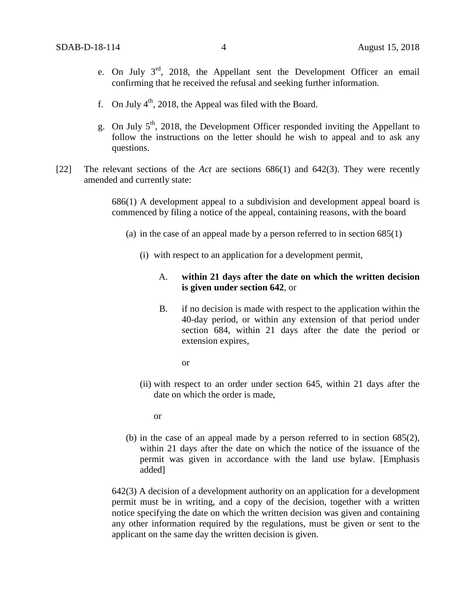- e. On July 3rd, 2018, the Appellant sent the Development Officer an email confirming that he received the refusal and seeking further information.
- f. On July  $4<sup>th</sup>$ , 2018, the Appeal was filed with the Board.
- g. On July  $5<sup>th</sup>$ , 2018, the Development Officer responded inviting the Appellant to follow the instructions on the letter should he wish to appeal and to ask any questions.
- [22] The relevant sections of the *Act* are sections 686(1) and 642(3). They were recently amended and currently state:

686(1) A development appeal to a subdivision and development appeal board is commenced by filing a notice of the appeal, containing reasons, with the board

- (a) in the case of an appeal made by a person referred to in section  $685(1)$ 
	- (i) with respect to an application for a development permit,

## A. **within 21 days after the date on which the written decision is given under section 642**, or

- B. if no decision is made with respect to the application within the 40-day period, or within any extension of that period under section 684, within 21 days after the date the period or extension expires,
	- or
- (ii) with respect to an order under section 645, within 21 days after the date on which the order is made,
	- or
- (b) in the case of an appeal made by a person referred to in section 685(2), within 21 days after the date on which the notice of the issuance of the permit was given in accordance with the land use bylaw. [Emphasis added]

642(3) A decision of a development authority on an application for a development permit must be in writing, and a copy of the decision, together with a written notice specifying the date on which the written decision was given and containing any other information required by the regulations, must be given or sent to the applicant on the same day the written decision is given.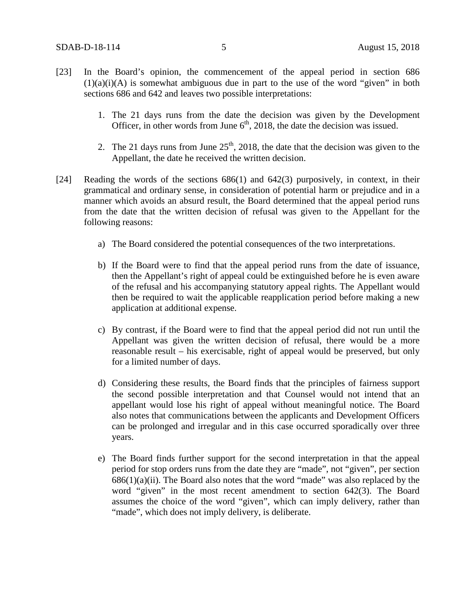- [23] In the Board's opinion, the commencement of the appeal period in section 686  $(1)(a)(i)(A)$  is somewhat ambiguous due in part to the use of the word "given" in both sections 686 and 642 and leaves two possible interpretations:
	- 1. The 21 days runs from the date the decision was given by the Development Officer, in other words from June  $6<sup>th</sup>$ , 2018, the date the decision was issued.
	- 2. The 21 days runs from June  $25<sup>th</sup>$ , 2018, the date that the decision was given to the Appellant, the date he received the written decision.
- [24] Reading the words of the sections 686(1) and 642(3) purposively, in context, in their grammatical and ordinary sense, in consideration of potential harm or prejudice and in a manner which avoids an absurd result, the Board determined that the appeal period runs from the date that the written decision of refusal was given to the Appellant for the following reasons:
	- a) The Board considered the potential consequences of the two interpretations.
	- b) If the Board were to find that the appeal period runs from the date of issuance, then the Appellant's right of appeal could be extinguished before he is even aware of the refusal and his accompanying statutory appeal rights. The Appellant would then be required to wait the applicable reapplication period before making a new application at additional expense.
	- c) By contrast, if the Board were to find that the appeal period did not run until the Appellant was given the written decision of refusal, there would be a more reasonable result – his exercisable, right of appeal would be preserved, but only for a limited number of days.
	- d) Considering these results, the Board finds that the principles of fairness support the second possible interpretation and that Counsel would not intend that an appellant would lose his right of appeal without meaningful notice. The Board also notes that communications between the applicants and Development Officers can be prolonged and irregular and in this case occurred sporadically over three years.
	- e) The Board finds further support for the second interpretation in that the appeal period for stop orders runs from the date they are "made", not "given", per section  $686(1)(a)(ii)$ . The Board also notes that the word "made" was also replaced by the word "given" in the most recent amendment to section 642(3). The Board assumes the choice of the word "given", which can imply delivery, rather than "made", which does not imply delivery, is deliberate.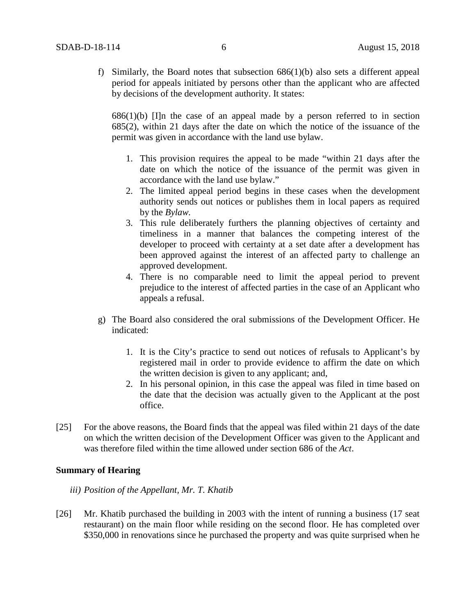f) Similarly, the Board notes that subsection 686(1)(b) also sets a different appeal period for appeals initiated by persons other than the applicant who are affected by decisions of the development authority. It states:

 $686(1)(b)$  [I]n the case of an appeal made by a person referred to in section 685(2), within 21 days after the date on which the notice of the issuance of the permit was given in accordance with the land use bylaw.

- 1. This provision requires the appeal to be made "within 21 days after the date on which the notice of the issuance of the permit was given in accordance with the land use bylaw."
- 2. The limited appeal period begins in these cases when the development authority sends out notices or publishes them in local papers as required by the *Bylaw.*
- 3. This rule deliberately furthers the planning objectives of certainty and timeliness in a manner that balances the competing interest of the developer to proceed with certainty at a set date after a development has been approved against the interest of an affected party to challenge an approved development.
- 4. There is no comparable need to limit the appeal period to prevent prejudice to the interest of affected parties in the case of an Applicant who appeals a refusal.
- g) The Board also considered the oral submissions of the Development Officer. He indicated:
	- 1. It is the City's practice to send out notices of refusals to Applicant's by registered mail in order to provide evidence to affirm the date on which the written decision is given to any applicant; and,
	- 2. In his personal opinion, in this case the appeal was filed in time based on the date that the decision was actually given to the Applicant at the post office.
- [25] For the above reasons, the Board finds that the appeal was filed within 21 days of the date on which the written decision of the Development Officer was given to the Applicant and was therefore filed within the time allowed under section 686 of the *Act*.

### **Summary of Hearing**

*iii) Position of the Appellant, Mr. T. Khatib*

[26] Mr. Khatib purchased the building in 2003 with the intent of running a business (17 seat restaurant) on the main floor while residing on the second floor. He has completed over \$350,000 in renovations since he purchased the property and was quite surprised when he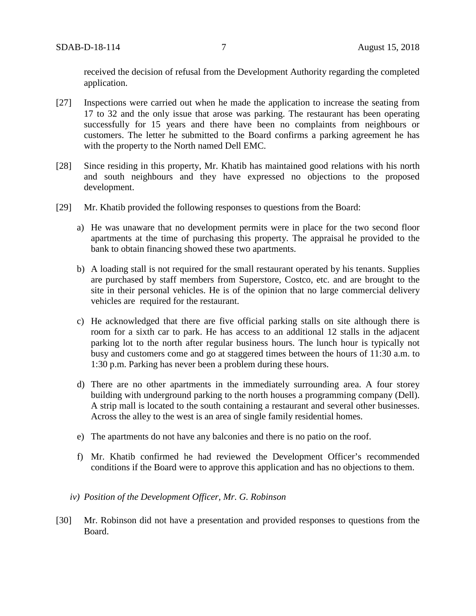received the decision of refusal from the Development Authority regarding the completed application.

- [27] Inspections were carried out when he made the application to increase the seating from 17 to 32 and the only issue that arose was parking. The restaurant has been operating successfully for 15 years and there have been no complaints from neighbours or customers. The letter he submitted to the Board confirms a parking agreement he has with the property to the North named Dell EMC.
- [28] Since residing in this property, Mr. Khatib has maintained good relations with his north and south neighbours and they have expressed no objections to the proposed development.
- [29] Mr. Khatib provided the following responses to questions from the Board:
	- a) He was unaware that no development permits were in place for the two second floor apartments at the time of purchasing this property. The appraisal he provided to the bank to obtain financing showed these two apartments.
	- b) A loading stall is not required for the small restaurant operated by his tenants. Supplies are purchased by staff members from Superstore, Costco, etc. and are brought to the site in their personal vehicles. He is of the opinion that no large commercial delivery vehicles are required for the restaurant.
	- c) He acknowledged that there are five official parking stalls on site although there is room for a sixth car to park. He has access to an additional 12 stalls in the adjacent parking lot to the north after regular business hours. The lunch hour is typically not busy and customers come and go at staggered times between the hours of 11:30 a.m. to 1:30 p.m. Parking has never been a problem during these hours.
	- d) There are no other apartments in the immediately surrounding area. A four storey building with underground parking to the north houses a programming company (Dell). A strip mall is located to the south containing a restaurant and several other businesses. Across the alley to the west is an area of single family residential homes.
	- e) The apartments do not have any balconies and there is no patio on the roof.
	- f) Mr. Khatib confirmed he had reviewed the Development Officer's recommended conditions if the Board were to approve this application and has no objections to them.
	- *iv) Position of the Development Officer, Mr. G. Robinson*
- [30] Mr. Robinson did not have a presentation and provided responses to questions from the Board.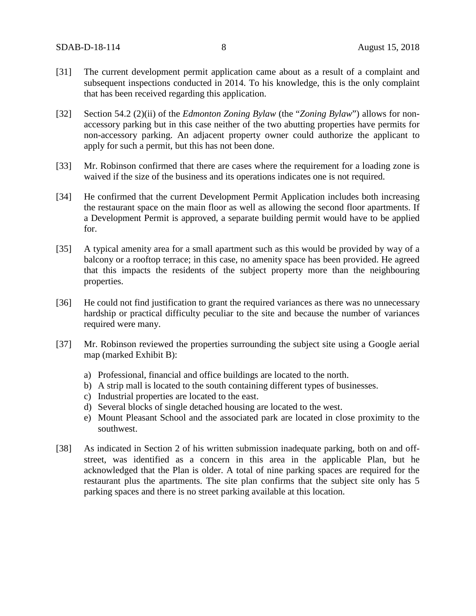- [31] The current development permit application came about as a result of a complaint and subsequent inspections conducted in 2014. To his knowledge, this is the only complaint that has been received regarding this application.
- [32] Section 54.2 (2)(ii) of the *Edmonton Zoning Bylaw* (the "*Zoning Bylaw*") allows for nonaccessory parking but in this case neither of the two abutting properties have permits for non-accessory parking. An adjacent property owner could authorize the applicant to apply for such a permit, but this has not been done.
- [33] Mr. Robinson confirmed that there are cases where the requirement for a loading zone is waived if the size of the business and its operations indicates one is not required.
- [34] He confirmed that the current Development Permit Application includes both increasing the restaurant space on the main floor as well as allowing the second floor apartments. If a Development Permit is approved, a separate building permit would have to be applied for.
- [35] A typical amenity area for a small apartment such as this would be provided by way of a balcony or a rooftop terrace; in this case, no amenity space has been provided. He agreed that this impacts the residents of the subject property more than the neighbouring properties.
- [36] He could not find justification to grant the required variances as there was no unnecessary hardship or practical difficulty peculiar to the site and because the number of variances required were many.
- [37] Mr. Robinson reviewed the properties surrounding the subject site using a Google aerial map (marked Exhibit B):
	- a) Professional, financial and office buildings are located to the north.
	- b) A strip mall is located to the south containing different types of businesses.
	- c) Industrial properties are located to the east.
	- d) Several blocks of single detached housing are located to the west.
	- e) Mount Pleasant School and the associated park are located in close proximity to the southwest.
- [38] As indicated in Section 2 of his written submission inadequate parking, both on and offstreet, was identified as a concern in this area in the applicable Plan, but he acknowledged that the Plan is older. A total of nine parking spaces are required for the restaurant plus the apartments. The site plan confirms that the subject site only has 5 parking spaces and there is no street parking available at this location.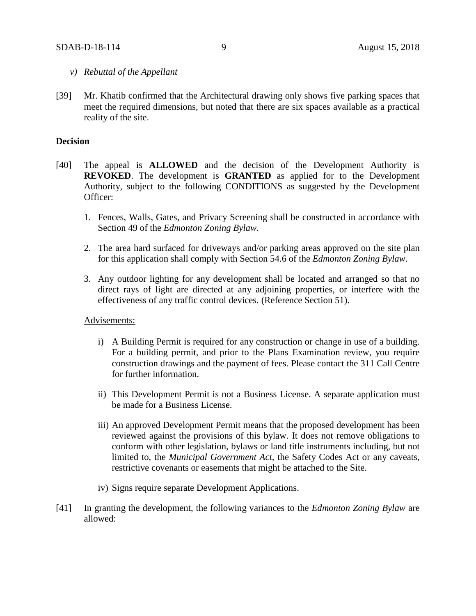- *v) Rebuttal of the Appellant*
- [39] Mr. Khatib confirmed that the Architectural drawing only shows five parking spaces that meet the required dimensions, but noted that there are six spaces available as a practical reality of the site.

## **Decision**

- [40] The appeal is **ALLOWED** and the decision of the Development Authority is **REVOKED**. The development is **GRANTED** as applied for to the Development Authority, subject to the following CONDITIONS as suggested by the Development Officer:
	- 1. Fences, Walls, Gates, and Privacy Screening shall be constructed in accordance with Section 49 of the *Edmonton Zoning Bylaw*.
	- 2. The area hard surfaced for driveways and/or parking areas approved on the site plan for this application shall comply with Section 54.6 of the *Edmonton Zoning Bylaw*.
	- 3. Any outdoor lighting for any development shall be located and arranged so that no direct rays of light are directed at any adjoining properties, or interfere with the effectiveness of any traffic control devices. (Reference Section 51).

#### Advisements:

- i) A Building Permit is required for any construction or change in use of a building. For a building permit, and prior to the Plans Examination review, you require construction drawings and the payment of fees. Please contact the 311 Call Centre for further information.
- ii) This Development Permit is not a Business License. A separate application must be made for a Business License.
- iii) An approved Development Permit means that the proposed development has been reviewed against the provisions of this bylaw. It does not remove obligations to conform with other legislation, bylaws or land title instruments including, but not limited to, the *Municipal Government Act*, the Safety Codes Act or any caveats, restrictive covenants or easements that might be attached to the Site.
- iv) Signs require separate Development Applications.
- [41] In granting the development, the following variances to the *Edmonton Zoning Bylaw* are allowed: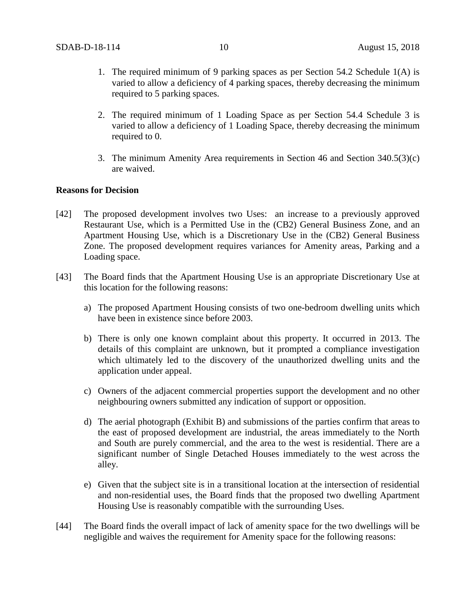- 1. The required minimum of 9 parking spaces as per Section 54.2 Schedule 1(A) is varied to allow a deficiency of 4 parking spaces, thereby decreasing the minimum required to 5 parking spaces.
- 2. The required minimum of 1 Loading Space as per Section 54.4 Schedule 3 is varied to allow a deficiency of 1 Loading Space, thereby decreasing the minimum required to 0.
- 3. The minimum Amenity Area requirements in Section 46 and Section 340.5(3)(c) are waived.

#### **Reasons for Decision**

- [42] The proposed development involves two Uses: an increase to a previously approved Restaurant Use, which is a Permitted Use in the (CB2) General Business Zone, and an Apartment Housing Use, which is a Discretionary Use in the (CB2) General Business Zone. The proposed development requires variances for Amenity areas, Parking and a Loading space.
- [43] The Board finds that the Apartment Housing Use is an appropriate Discretionary Use at this location for the following reasons:
	- a) The proposed Apartment Housing consists of two one-bedroom dwelling units which have been in existence since before 2003.
	- b) There is only one known complaint about this property. It occurred in 2013. The details of this complaint are unknown, but it prompted a compliance investigation which ultimately led to the discovery of the unauthorized dwelling units and the application under appeal.
	- c) Owners of the adjacent commercial properties support the development and no other neighbouring owners submitted any indication of support or opposition.
	- d) The aerial photograph (Exhibit B) and submissions of the parties confirm that areas to the east of proposed development are industrial, the areas immediately to the North and South are purely commercial, and the area to the west is residential. There are a significant number of Single Detached Houses immediately to the west across the alley.
	- e) Given that the subject site is in a transitional location at the intersection of residential and non-residential uses, the Board finds that the proposed two dwelling Apartment Housing Use is reasonably compatible with the surrounding Uses.
- [44] The Board finds the overall impact of lack of amenity space for the two dwellings will be negligible and waives the requirement for Amenity space for the following reasons: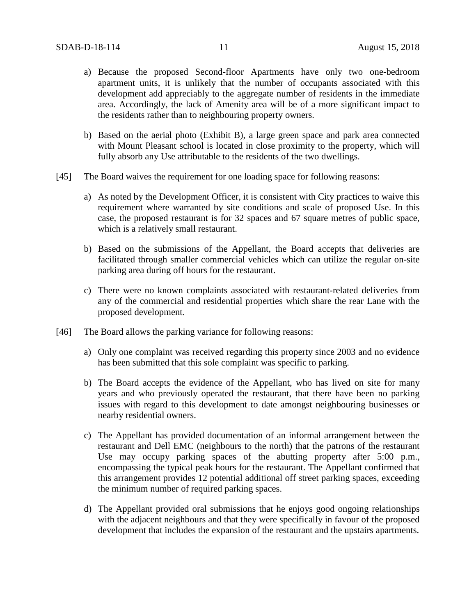- a) Because the proposed Second-floor Apartments have only two one-bedroom apartment units, it is unlikely that the number of occupants associated with this development add appreciably to the aggregate number of residents in the immediate area. Accordingly, the lack of Amenity area will be of a more significant impact to the residents rather than to neighbouring property owners.
- b) Based on the aerial photo (Exhibit B), a large green space and park area connected with Mount Pleasant school is located in close proximity to the property, which will fully absorb any Use attributable to the residents of the two dwellings.
- [45] The Board waives the requirement for one loading space for following reasons:
	- a) As noted by the Development Officer, it is consistent with City practices to waive this requirement where warranted by site conditions and scale of proposed Use. In this case, the proposed restaurant is for 32 spaces and 67 square metres of public space, which is a relatively small restaurant.
	- b) Based on the submissions of the Appellant, the Board accepts that deliveries are facilitated through smaller commercial vehicles which can utilize the regular on-site parking area during off hours for the restaurant.
	- c) There were no known complaints associated with restaurant-related deliveries from any of the commercial and residential properties which share the rear Lane with the proposed development.
- [46] The Board allows the parking variance for following reasons:
	- a) Only one complaint was received regarding this property since 2003 and no evidence has been submitted that this sole complaint was specific to parking.
	- b) The Board accepts the evidence of the Appellant, who has lived on site for many years and who previously operated the restaurant, that there have been no parking issues with regard to this development to date amongst neighbouring businesses or nearby residential owners.
	- c) The Appellant has provided documentation of an informal arrangement between the restaurant and Dell EMC (neighbours to the north) that the patrons of the restaurant Use may occupy parking spaces of the abutting property after 5:00 p.m., encompassing the typical peak hours for the restaurant. The Appellant confirmed that this arrangement provides 12 potential additional off street parking spaces, exceeding the minimum number of required parking spaces.
	- d) The Appellant provided oral submissions that he enjoys good ongoing relationships with the adjacent neighbours and that they were specifically in favour of the proposed development that includes the expansion of the restaurant and the upstairs apartments.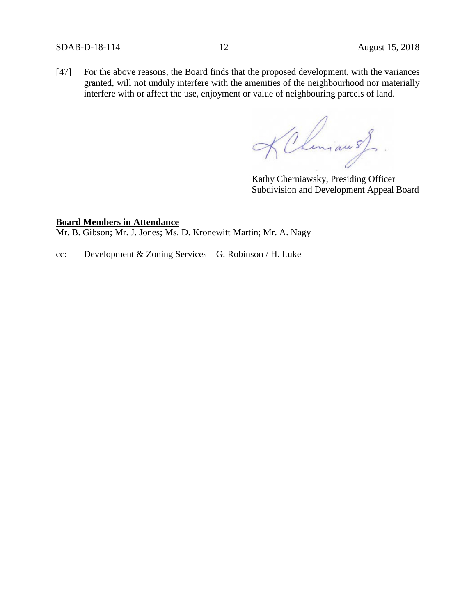[47] For the above reasons, the Board finds that the proposed development, with the variances granted, will not unduly interfere with the amenities of the neighbourhood nor materially interfere with or affect the use, enjoyment or value of neighbouring parcels of land.

KChman s)

Kathy Cherniawsky, Presiding Officer Subdivision and Development Appeal Board

#### **Board Members in Attendance**

Mr. B. Gibson; Mr. J. Jones; Ms. D. Kronewitt Martin; Mr. A. Nagy

cc: Development & Zoning Services – G. Robinson / H. Luke